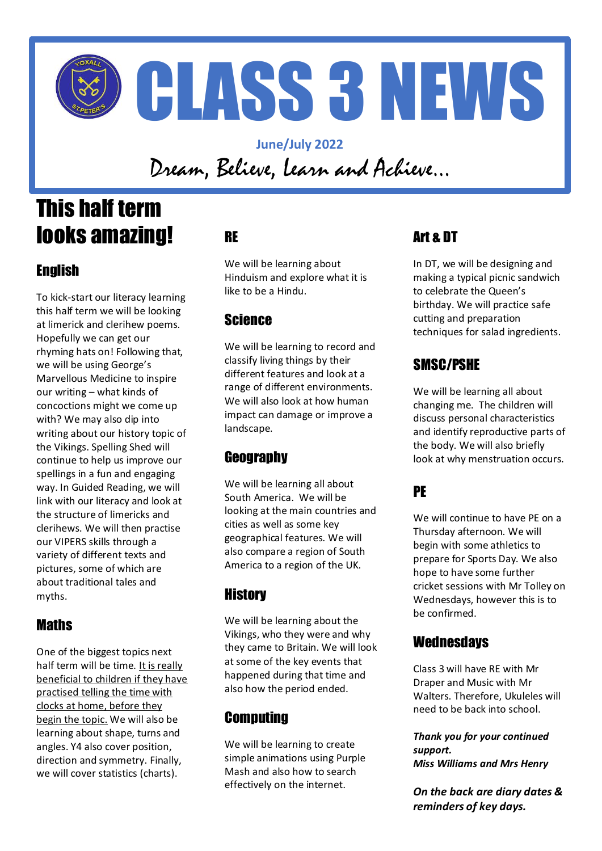

**June/July 2022** Dream, Believe, Learn and Achieve…

# This half term looks amazing!

## **English**

To kick-start our literacy learning this half term we will be looking at limerick and clerihew poems. Hopefully we can get our rhyming hats on! Following that, we will be using George's Marvellous Medicine to inspire our writing – what kinds of concoctions might we come up with? We may also dip into writing about our history topic of the Vikings. Spelling Shed will continue to help us improve our spellings in a fun and engaging way. In Guided Reading, we will link with our literacy and look at the structure of limericks and clerihews. We will then practise our VIPERS skills through a variety of different texts and pictures, some of which are about traditional tales and myths.

## **Maths**

One of the biggest topics next half term will be time. It is really beneficial to children if they have practised telling the time with clocks at home, before they begin the topic. We will also be learning about shape, turns and angles. Y4 also cover position, direction and symmetry. Finally, we will cover statistics (charts).

## RE

We will be learning about Hinduism and explore what it is like to be a Hindu.

## Science

We will be learning to record and classify living things by their different features and look at a range of different environments. We will also look at how human impact can damage or improve a landscape.

## **Geography**

We will be learning all about South America. We will be looking at the main countries and cities as well as some key geographical features. We will also compare a region of South America to a region of the UK.

## **History**

We will be learning about the Vikings, who they were and why they came to Britain. We will look at some of the key events that happened during that time and also how the period ended.

## **Computing**

We will be learning to create simple animations using Purple Mash and also how to search effectively on the internet.

## Art & DT

In DT, we will be designing and making a typical picnic sandwich to celebrate the Queen's birthday. We will practice safe cutting and preparation techniques for salad ingredients.

## SMSC/PSHE

We will be learning all about changing me. The children will discuss personal characteristics and identify reproductive parts of the body. We will also briefly look at why menstruation occurs.

## PE

We will continue to have PE on a Thursday afternoon. We will begin with some athletics to prepare for Sports Day. We also hope to have some further cricket sessions with Mr Tolley on Wednesdays, however this is to be confirmed.

#### **Wednesdays**

Class 3 will have RE with Mr Draper and Music with Mr Walters. Therefore, Ukuleles will need to be back into school.

*Thank you for your continued support. Miss Williams and Mrs Henry*

*On the back are diary dates & reminders of key days.*